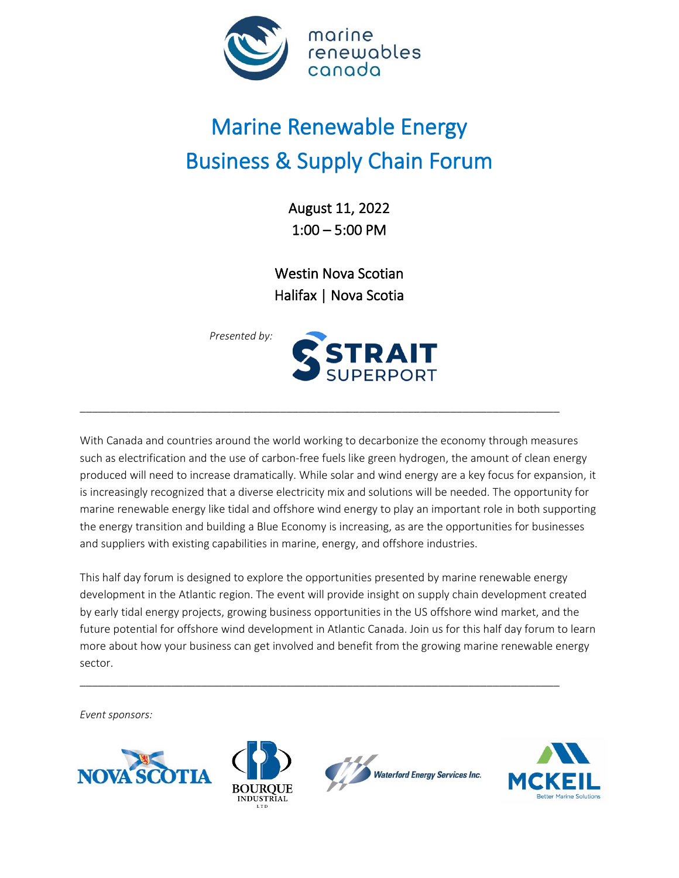

# Marine Renewable Energy Business & Supply Chain Forum

August 11, 2022 1:00 – 5:00 PM

Westin Nova Scotian Halifax | Nova Scotia



With Canada and countries around the world working to decarbonize the economy through measures such as electrification and the use of carbon-free fuels like green hydrogen, the amount of clean energy produced will need to increase dramatically. While solar and wind energy are a key focus for expansion, it is increasingly recognized that a diverse electricity mix and solutions will be needed. The opportunity for marine renewable energy like tidal and offshore wind energy to play an important role in both supporting the energy transition and building a Blue Economy is increasing, as are the opportunities for businesses and suppliers with existing capabilities in marine, energy, and offshore industries.

\_\_\_\_\_\_\_\_\_\_\_\_\_\_\_\_\_\_\_\_\_\_\_\_\_\_\_\_\_\_\_\_\_\_\_\_\_\_\_\_\_\_\_\_\_\_\_\_\_\_\_\_\_\_\_\_\_\_\_\_\_\_\_\_\_\_\_\_\_\_\_\_\_\_\_\_\_\_\_

This half day forum is designed to explore the opportunities presented by marine renewable energy development in the Atlantic region. The event will provide insight on supply chain development created by early tidal energy projects, growing business opportunities in the US offshore wind market, and the future potential for offshore wind development in Atlantic Canada. Join us for this half day forum to learn more about how your business can get involved and benefit from the growing marine renewable energy sector.

\_\_\_\_\_\_\_\_\_\_\_\_\_\_\_\_\_\_\_\_\_\_\_\_\_\_\_\_\_\_\_\_\_\_\_\_\_\_\_\_\_\_\_\_\_\_\_\_\_\_\_\_\_\_\_\_\_\_\_\_\_\_\_\_\_\_\_\_\_\_\_\_\_\_\_\_\_\_\_

*Event sponsors:*







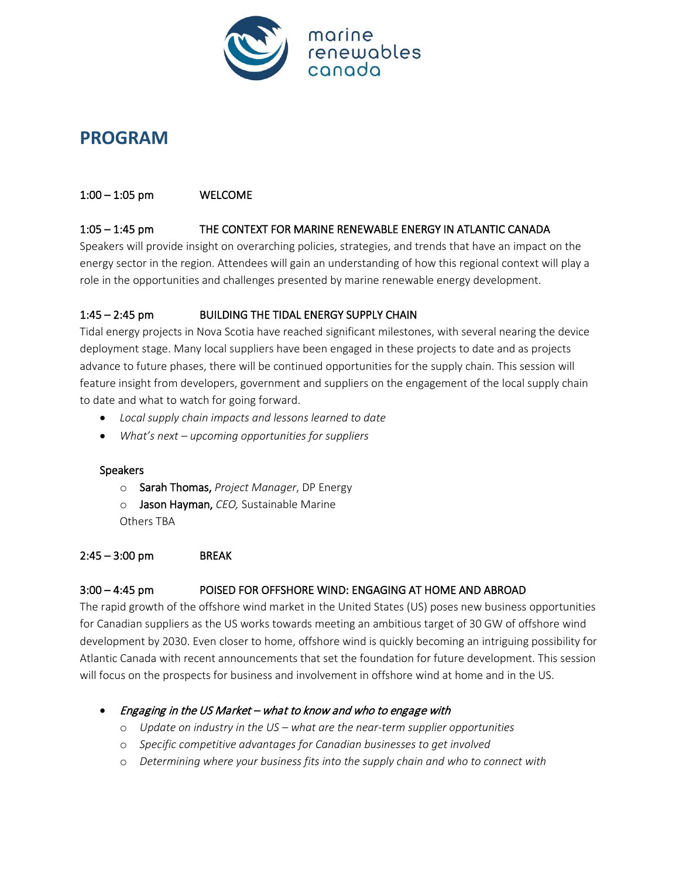

# **PROGRAM**

#### 1:00 – 1:05 pm WELCOME

#### 1:05 – 1:45 pm THE CONTEXT FOR MARINE RENEWABLE ENERGY IN ATLANTIC CANADA

Speakers will provide insight on overarching policies, strategies, and trends that have an impact on the energy sector in the region. Attendees will gain an understanding of how this regional context will play a role in the opportunities and challenges presented by marine renewable energy development.

### 1:45 – 2:45 pm BUILDING THE TIDAL ENERGY SUPPLY CHAIN

Tidal energy projects in Nova Scotia have reached significant milestones, with several nearing the device deployment stage. Many local suppliers have been engaged in these projects to date and as projects advance to future phases, there will be continued opportunities for the supply chain. This session will feature insight from developers, government and suppliers on the engagement of the local supply chain to date and what to watch for going forward.

- *Local supply chain impacts and lessons learned to date*
- *What's next – upcoming opportunities for suppliers*

#### Speakers

- o Sarah Thomas, *Project Manager*, DP Energy
- o Jason Hayman, *CEO,* Sustainable Marine
- Others TBA

#### 2:45 – 3:00 pm BREAK

## 3:00 – 4:45 pm POISED FOR OFFSHORE WIND: ENGAGING AT HOME AND ABROAD

The rapid growth of the offshore wind market in the United States (US) poses new business opportunities for Canadian suppliers as the US works towards meeting an ambitious target of 30 GW of offshore wind development by 2030. Even closer to home, offshore wind is quickly becoming an intriguing possibility for Atlantic Canada with recent announcements that set the foundation for future development. This session will focus on the prospects for business and involvement in offshore wind at home and in the US.

## • Engaging in the US Market – what to know and who to engage with

- o *Update on industry in the US – what are the near-term supplier opportunities*
- o *Specific competitive advantages for Canadian businesses to get involved*
- o *Determining where your business fits into the supply chain and who to connect with*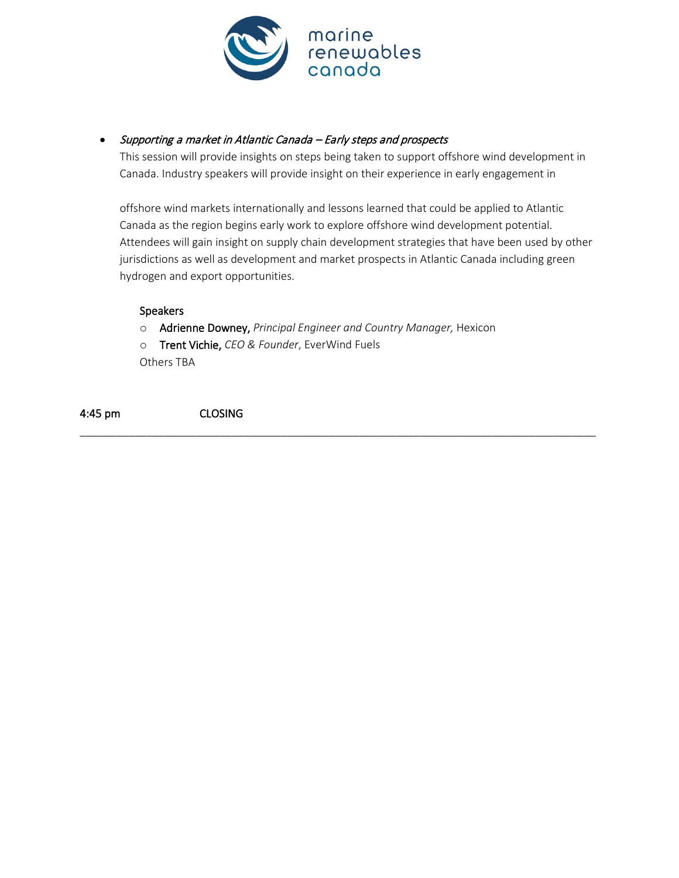

## • Supporting a market in Atlantic Canada – Early steps and prospects

This session will provide insights on steps being taken to support offshore wind development in Canada. Industry speakers will provide insight on their experience in early engagement in

offshore wind markets internationally and lessons learned that could be applied to Atlantic Canada as the region begins early work to explore offshore wind development potential. Attendees will gain insight on supply chain development strategies that have been used by other jurisdictions as well as development and market prospects in Atlantic Canada including green hydrogen and export opportunities.

#### Speakers

o Adrienne Downey, *Principal Engineer and Country Manager,* Hexicon

\_\_\_\_\_\_\_\_\_\_\_\_\_\_\_\_\_\_\_\_\_\_\_\_\_\_\_\_\_\_\_\_\_\_\_\_\_\_\_\_\_\_\_\_\_\_\_\_\_\_\_\_\_\_\_\_\_\_\_\_\_\_\_\_\_\_\_\_\_\_\_\_\_\_\_\_\_\_\_\_\_\_\_\_\_

o Trent Vichie, *CEO & Founder*, EverWind Fuels

Others TBA

4:45 pm CLOSING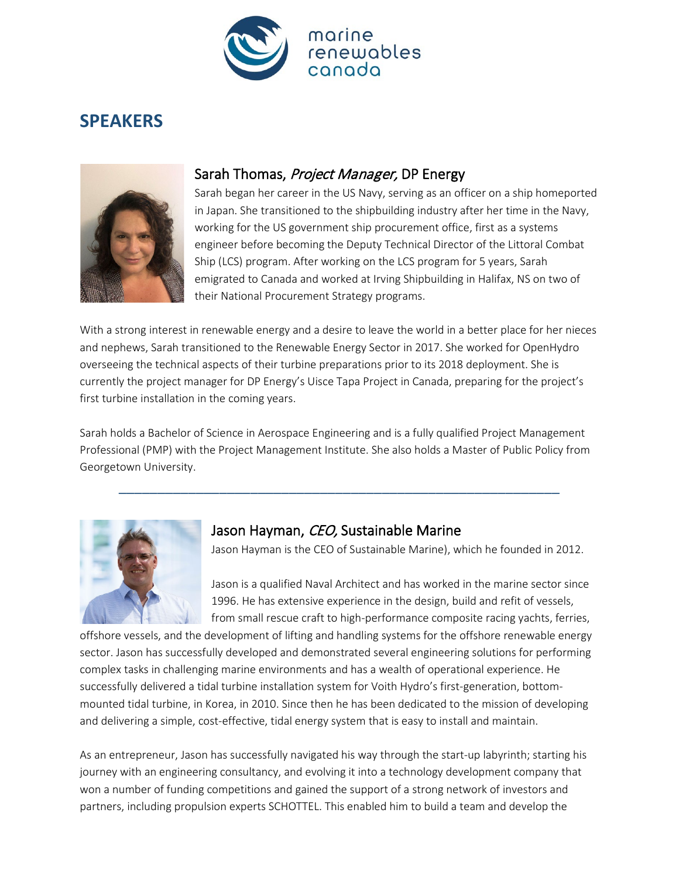

# **SPEAKERS**



# Sarah Thomas, Project Manager, DP Energy

Sarah began her career in the US Navy, serving as an officer on a ship homeported in Japan. She transitioned to the shipbuilding industry after her time in the Navy, working for the US government ship procurement office, first as a systems engineer before becoming the Deputy Technical Director of the Littoral Combat Ship (LCS) program. After working on the LCS program for 5 years, Sarah emigrated to Canada and worked at Irving Shipbuilding in Halifax, NS on two of their National Procurement Strategy programs.

With a strong interest in renewable energy and a desire to leave the world in a better place for her nieces and nephews, Sarah transitioned to the Renewable Energy Sector in 2017. She worked for OpenHydro overseeing the technical aspects of their turbine preparations prior to its 2018 deployment. She is currently the project manager for DP Energy's Uisce Tapa Project in Canada, preparing for the project's first turbine installation in the coming years.

Sarah holds a Bachelor of Science in Aerospace Engineering and is a fully qualified Project Management Professional (PMP) with the Project Management Institute. She also holds a Master of Public Policy from Georgetown University.

\_\_\_\_\_\_\_\_\_\_\_\_\_\_\_\_\_\_\_\_\_\_\_\_\_\_\_\_\_\_\_\_\_\_\_\_\_\_\_\_\_\_\_\_\_\_\_\_\_\_\_\_\_\_\_\_\_



## Jason Hayman, CEO, Sustainable Marine

Jason Hayman is the CEO of Sustainable Marine), which he founded in 2012.

Jason is a qualified Naval Architect and has worked in the marine sector since 1996. He has extensive experience in the design, build and refit of vessels, from small rescue craft to high-performance composite racing yachts, ferries,

offshore vessels, and the development of lifting and handling systems for the offshore renewable energy sector. Jason has successfully developed and demonstrated several engineering solutions for performing complex tasks in challenging marine environments and has a wealth of operational experience. He successfully delivered a tidal turbine installation system for Voith Hydro's first-generation, bottommounted tidal turbine, in Korea, in 2010. Since then he has been dedicated to the mission of developing and delivering a simple, cost-effective, tidal energy system that is easy to install and maintain.

As an entrepreneur, Jason has successfully navigated his way through the start-up labyrinth; starting his journey with an engineering consultancy, and evolving it into a technology development company that won a number of funding competitions and gained the support of a strong network of investors and partners, including propulsion experts SCHOTTEL. This enabled him to build a team and develop the